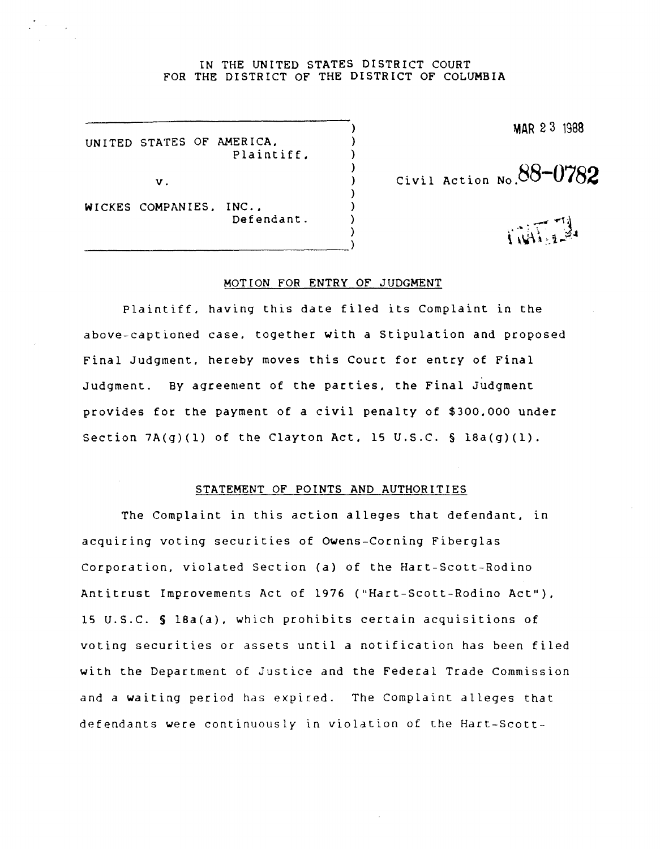## IN THE UNITED STATES DISTRICT COURT FOR THE DISTRICT OF THE DISTRICT OF COLUMBIA

) ) ) ) ) ) ) ) )

UNITED STATES OF AMERICA, Plaintiff,

v.

WICKES COMPANIES, INC., Defendant.

----------------------------------)

MAR 23 1988

Civil Action **No.88-0782** 

## MOTION FOR ENTRY OF JUDGMENT

Plaintiff, having this date filed its Complaint in the above-captioned case, together with a Stipulation and proposed Final Judgment, hereby moves this Court for entry of Final Judgment. By agreement of the parties. the Final Judgment provides for the payment of a civil penalty of \$300.000 under Section  $7A(q)(1)$  of the Clayton Act. 15 U.S.C. § 18a(q)(1).

## STATEMENT OF POINTS AND AUTHORITIES

The Complaint in this action alleges that defendant, in acquiring voting securities of Owens-Corning Fiberglas Corporation, violated Section (a) of the Hart-Scott-Rodino Antitrust Improvements Act of 1976 ("Hart-Scott-Rodino Act"). 15 U.S.C. § 18a(a), which prohibits certain acquisitions of voting securities or assets until a notification has been filed with the Department of Justice and the Federal Trade Commission and a waiting period has expired. The Complaint alleges that defendants were continuously in violation of the Hart-Scott-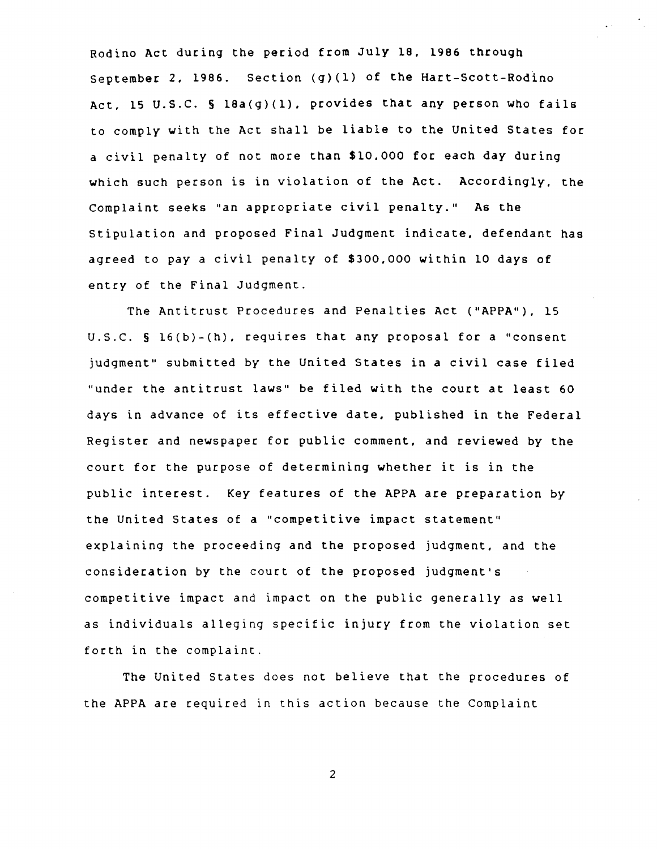Rodino Act during the period from July 18, 1986 through September 2, 1986. Section (g)(l) of the Hart-Scott-Rodino Act, 15 U.S.C. § 16a(g)(1), provides that any person who fails to comply with the Act shall be liable to the United States for a civil penalty of not more than \$10,000 for each day during which such person is in violation of the Act. Accordingly, the Complaint seeks "an appropriate civil penalty." As the Stipulation and proposed Final Judgment indicate, defendant has agreed to pay a civil penalty of \$300,000 within 10 days of entry of the Final Judgment.

The Antitrust Procedures and Penalties Act ("APPA"), 15 U.S.C. § 16(b)-(h), requires that any proposal for a "consent judgment" submitted by the United States in a civil case filed "under the antitrust laws" be filed with the court at least 60 days in advance of its effective date, published in the Federal Register and newspaper for public comment, and reviewed by the court for the purpose of determining whether it is in the public interest. *Key* features of the APPA are preparation by the United States of a "competitive impact statement" explaining the proceeding and the proposed judgment, and the consideration by the court of the proposed judgment's competitive impact and impact on the public generally as well as individuals alleging specific injury from the violation set forth in the complaint.

The United States does not believe that the procedures of the APPA are required in this action because the Complaint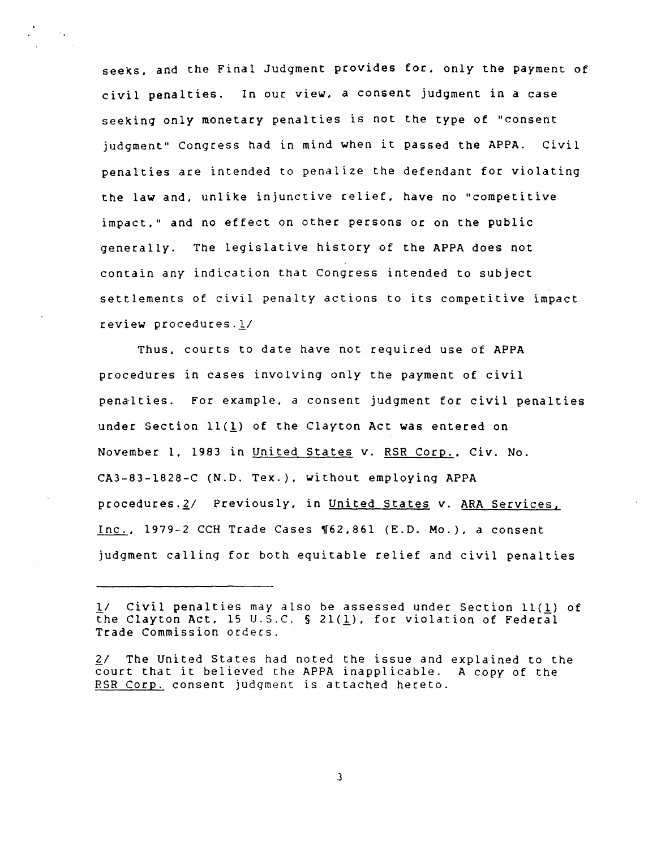seeks, and the Final Judgment provides for, only the payment of civil penalties. In our view, a consent judgment in a case seeking only monetary penalties is not the type of "consent judgment" Congress had in mind when it passed the APPA. Civil penalties are intended to penalize the defendant for violating the law and, unlike injunctive relief, have no "competitive impact," and no effect on other persons or on the public generally. The legislative history of the APPA does not contain any indication that Congress intended to subject settlements of civil penalty actions to its competitive impact review procedures.1/

Thus, courts to date have not required use of APPA procedures in cases involving only the payment of civil penalties. For example, a consent judgment for civil penalties under Section 11(1) of the Clayton Act was entered on November 1, 1983 in United States v. RSR Corp., Civ. No. CA3-83-1828-C (N.D. Tex.), without employing APPA procedures.2/ Previously, in United States v. ARA Services,  $Inc.$ , 1979-2 CCH Trade Cases  $\P62.861$  (E.D. Mo.), a consent</u> judgment calling for both equitable relief and civil penalties

<sup>11</sup> Civil penalties may also be assessed under Section 11(1) of the Clayton Act. 15 U.S.C. § 21( $\underline{1}$ ). for violation of Federal Trade Commission orders.

<sup>2/</sup> The United States had noted the issue and explained to the court that it believed the APPA inapplicable. A copy of the RSR Corp. consent judgment is attached hereto.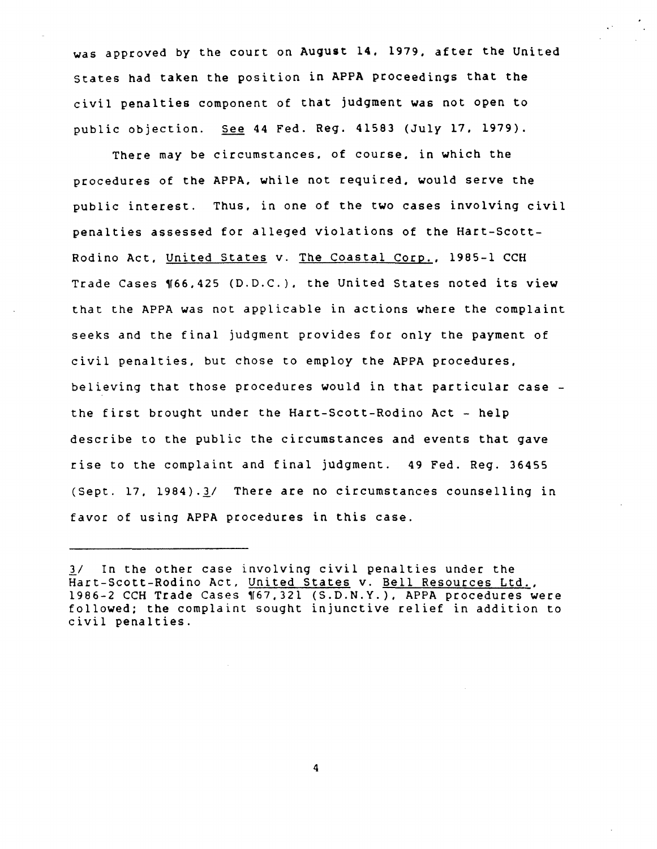was approved by the court on August 14, 1979, after the United States had taken the position in APPA proceedings that the civil penalties component of that judgment was not open to public objection. See 44 Fed. Reg. 41583 *(July* 17, 1979).

There *may* be circumstances, of course, in which the procedures of the APPA, while not required, would serve the public interest. Thus, in one of the two cases involving civil penalties assessed for alleged violations of the Hart-Scott-Rodino Act, United States v. The Coastal Corp., 1985-1 CCH Trade Cases ¶66,425 (D.D.C.), the United States noted its view that the APPA was not applicable in actions where the complaint seeks and the final judgment provides for only the payment of civil penalties, but chose to employ the APPA procedures, believing that those procedures would in that particular case the first brought under the Hart-Scott-Rodino Act - help describe to the public the circumstances and events that gave rise to the complaint and final judgment. 49 Fed. Reg. 36455 (Sept. 17, 1984).3/ There are no circumstances counselling in favor of using APPA procedures in this case.

*<sup>11</sup>* In the other case involving civil penalties under the Hart-Scott-Rodino Act, United States v. Bell Resources Ltd., 1986-2 CCH Trade Cases '67,321 (S.D.N.Y.), APPA procedures were followed; the complaint sought injunctive relief in addition to civil penalties.